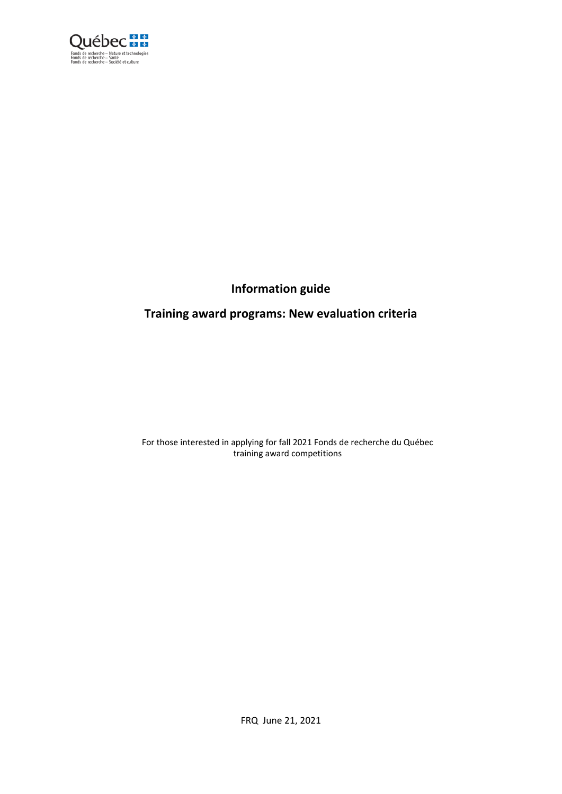

# **Information guide**

## **Training award programs: New evaluation criteria**

For those interested in applying for fall 2021 Fonds de recherche du Québec training award competitions

FRQ June 21, 2021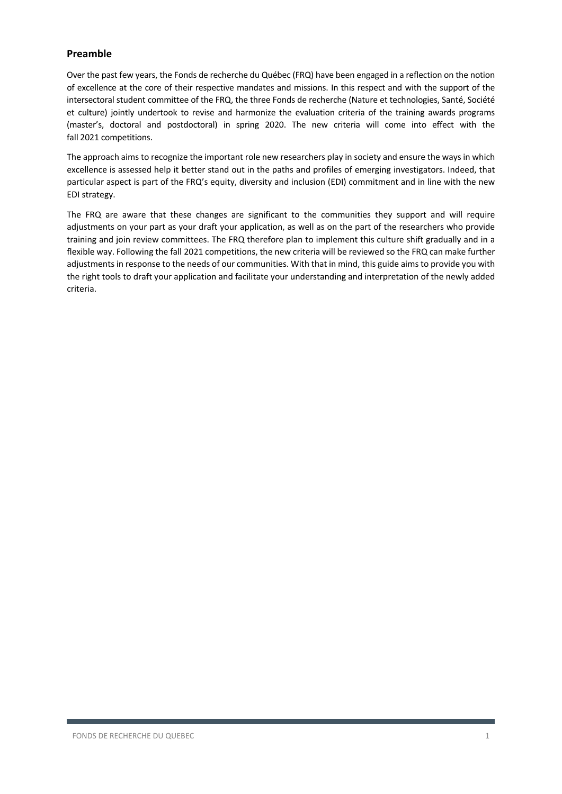### **Preamble**

Over the past few years, the Fonds de recherche du Québec (FRQ) have been engaged in a reflection on the notion of excellence at the core of their respective mandates and missions. In this respect and with the support of the intersectoral student committee of the FRQ, the three Fonds de recherche (Nature et technologies, Santé, Société et culture) jointly undertook to revise and harmonize the evaluation criteria of the training awards programs (master's, doctoral and postdoctoral) in spring 2020. The new criteria will come into effect with the fall 2021 competitions.

The approach aims to recognize the important role new researchers play in society and ensure the ways in which excellence is assessed help it better stand out in the paths and profiles of emerging investigators. Indeed, that particular aspect is part of the FRQ's equity, diversity and inclusion (EDI) commitment and in line with the new EDI strategy.

The FRQ are aware that these changes are significant to the communities they support and will require adjustments on your part as your draft your application, as well as on the part of the researchers who provide training and join review committees. The FRQ therefore plan to implement this culture shift gradually and in a flexible way. Following the fall 2021 competitions, the new criteria will be reviewed so the FRQ can make further adjustments in response to the needs of our communities. With that in mind, this guide aims to provide you with the right tools to draft your application and facilitate your understanding and interpretation of the newly added criteria.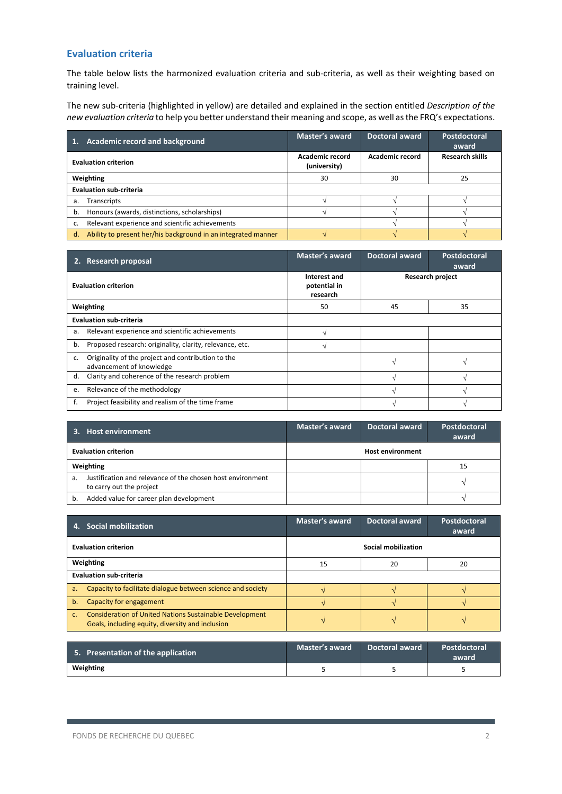### **Evaluation criteria**

The table below lists the harmonized evaluation criteria and sub-criteria, as well as their weighting based on training level.

The new sub-criteria (highlighted in yellow) are detailed and explained in the section entitled *Description of the new evaluation criteria* to help you better understand their meaning and scope, as well asthe FRQ's expectations.

| Academic record and background<br>$\blacksquare$ 1.                 | <b>Master's award</b>           | <b>Doctoral award</b>  | Postdoctoral<br>award  |
|---------------------------------------------------------------------|---------------------------------|------------------------|------------------------|
| <b>Evaluation criterion</b>                                         | Academic record<br>(university) | <b>Academic record</b> | <b>Research skills</b> |
| Weighting                                                           | 30                              | 30                     | 25                     |
| <b>Evaluation sub-criteria</b>                                      |                                 |                        |                        |
| Transcripts<br>a.                                                   |                                 |                        |                        |
| Honours (awards, distinctions, scholarships)<br>b.                  |                                 |                        |                        |
| Relevant experience and scientific achievements<br>c.               |                                 |                        |                        |
| Ability to present her/his background in an integrated manner<br>d. |                                 |                        |                        |

| 2. | <b>Research proposal</b>                                                       | Master's award                           | <b>Doctoral award</b>   | Postdoctoral<br>award |
|----|--------------------------------------------------------------------------------|------------------------------------------|-------------------------|-----------------------|
|    | <b>Evaluation criterion</b>                                                    | Interest and<br>potential in<br>research | <b>Research project</b> |                       |
|    | Weighting                                                                      | 50                                       | 45<br>35                |                       |
|    | <b>Evaluation sub-criteria</b>                                                 |                                          |                         |                       |
| a. | Relevant experience and scientific achievements                                |                                          |                         |                       |
| b. | Proposed research: originality, clarity, relevance, etc.                       |                                          |                         |                       |
| c. | Originality of the project and contribution to the<br>advancement of knowledge |                                          | $\lambda$               |                       |
| d. | Clarity and coherence of the research problem                                  |                                          |                         |                       |
| e. | Relevance of the methodology                                                   |                                          |                         |                       |
|    | Project feasibility and realism of the time frame                              |                                          |                         |                       |

| 3. Host environment                                                                          | Master's award          | <b>Doctoral award</b> | Postdoctoral<br>award |
|----------------------------------------------------------------------------------------------|-------------------------|-----------------------|-----------------------|
| <b>Evaluation criterion</b>                                                                  | <b>Host environment</b> |                       |                       |
| Weighting                                                                                    | 15                      |                       |                       |
| Justification and relevance of the chosen host environment<br>a.<br>to carry out the project |                         |                       |                       |
| Added value for career plan development<br>b.                                                |                         |                       |                       |

| 4. | <b>Social mobilization</b>                                                                                  | Master's award      | <b>Doctoral award</b> | Postdoctoral<br>award |
|----|-------------------------------------------------------------------------------------------------------------|---------------------|-----------------------|-----------------------|
|    | <b>Evaluation criterion</b>                                                                                 | Social mobilization |                       |                       |
|    | Weighting                                                                                                   | 20<br>20<br>15      |                       |                       |
|    | <b>Evaluation sub-criteria</b>                                                                              |                     |                       |                       |
| a. | Capacity to facilitate dialogue between science and society                                                 |                     |                       |                       |
| b. | Capacity for engagement                                                                                     |                     |                       |                       |
| C. | Consideration of United Nations Sustainable Development<br>Goals, including equity, diversity and inclusion |                     |                       |                       |

| 5. Presentation of the application | Master's award | <b>Doctoral award</b> | Postdoctoral<br>award |
|------------------------------------|----------------|-----------------------|-----------------------|
| Weighting                          |                |                       |                       |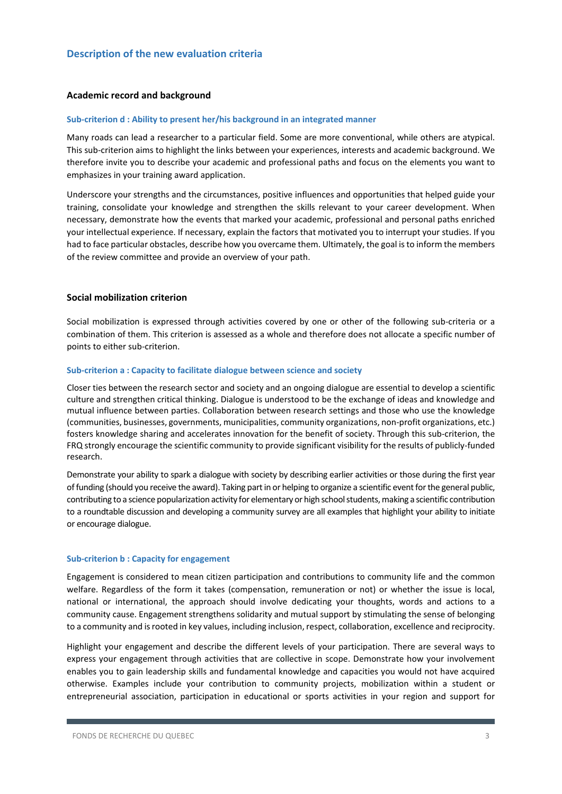### **Academic record and background**

#### **Sub-criterion d : Ability to present her/his background in an integrated manner**

Many roads can lead a researcher to a particular field. Some are more conventional, while others are atypical. This sub-criterion aims to highlight the links between your experiences, interests and academic background. We therefore invite you to describe your academic and professional paths and focus on the elements you want to emphasizes in your training award application.

Underscore your strengths and the circumstances, positive influences and opportunities that helped guide your training, consolidate your knowledge and strengthen the skills relevant to your career development. When necessary, demonstrate how the events that marked your academic, professional and personal paths enriched your intellectual experience. If necessary, explain the factors that motivated you to interrupt your studies. If you had to face particular obstacles, describe how you overcame them. Ultimately, the goal is to inform the members of the review committee and provide an overview of your path.

### **Social mobilization criterion**

Social mobilization is expressed through activities covered by one or other of the following sub-criteria or a combination of them. This criterion is assessed as a whole and therefore does not allocate a specific number of points to either sub-criterion.

### **Sub-criterion a : Capacity to facilitate dialogue between science and society**

Closer ties between the research sector and society and an ongoing dialogue are essential to develop a scientific culture and strengthen critical thinking. Dialogue is understood to be the exchange of ideas and knowledge and mutual influence between parties. Collaboration between research settings and those who use the knowledge (communities, businesses, governments, municipalities, community organizations, non-profit organizations, etc.) fosters knowledge sharing and accelerates innovation for the benefit of society. Through this sub-criterion, the FRQ strongly encourage the scientific community to provide significant visibility for the results of publicly-funded research.

Demonstrate your ability to spark a dialogue with society by describing earlier activities or those during the first year of funding (should you receive the award). Taking part in or helping to organize a scientific event for the general public, contributing to a science popularization activity for elementary or high school students, making a scientific contribution to a roundtable discussion and developing a community survey are all examples that highlight your ability to initiate or encourage dialogue.

### **Sub-criterion b : Capacity for engagement**

Engagement is considered to mean citizen participation and contributions to community life and the common welfare. Regardless of the form it takes (compensation, remuneration or not) or whether the issue is local, national or international, the approach should involve dedicating your thoughts, words and actions to a community cause. Engagement strengthens solidarity and mutual support by stimulating the sense of belonging to a community and is rooted in key values, including inclusion, respect, collaboration, excellence and reciprocity.

Highlight your engagement and describe the different levels of your participation. There are several ways to express your engagement through activities that are collective in scope. Demonstrate how your involvement enables you to gain leadership skills and fundamental knowledge and capacities you would not have acquired otherwise. Examples include your contribution to community projects, mobilization within a student or entrepreneurial association, participation in educational or sports activities in your region and support for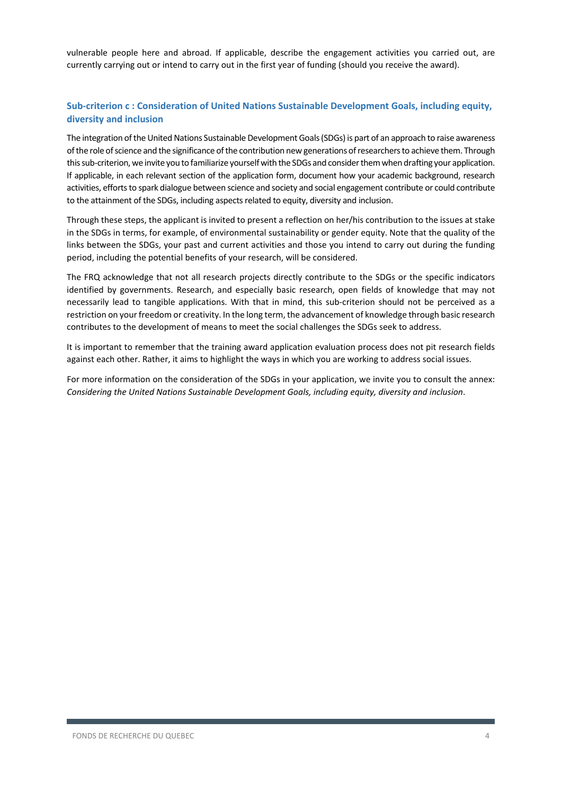vulnerable people here and abroad. If applicable, describe the engagement activities you carried out, are currently carrying out or intend to carry out in the first year of funding (should you receive the award).

## **Sub-criterion c : Consideration of United Nations Sustainable Development Goals, including equity, diversity and inclusion**

The integration of the United Nations Sustainable Development Goals (SDGs) is part of an approach to raise awareness of the role of science and the significance of the contribution new generations of researchers to achieve them. Through this sub-criterion, we invite you to familiarize yourself with the SDGs and consider them when drafting your application. If applicable, in each relevant section of the application form, document how your academic background, research activities, efforts to spark dialogue between science and society and social engagement contribute or could contribute to the attainment of the SDGs, including aspects related to equity, diversity and inclusion.

Through these steps, the applicant is invited to present a reflection on her/his contribution to the issues at stake in the SDGs in terms, for example, of environmental sustainability or gender equity. Note that the quality of the links between the SDGs, your past and current activities and those you intend to carry out during the funding period, including the potential benefits of your research, will be considered.

The FRQ acknowledge that not all research projects directly contribute to the SDGs or the specific indicators identified by governments. Research, and especially basic research, open fields of knowledge that may not necessarily lead to tangible applications. With that in mind, this sub-criterion should not be perceived as a restriction on your freedom or creativity. In the long term, the advancement of knowledge through basic research contributes to the development of means to meet the social challenges the SDGs seek to address.

It is important to remember that the training award application evaluation process does not pit research fields against each other. Rather, it aims to highlight the ways in which you are working to address social issues.

For more information on the consideration of the SDGs in your application, we invite you to consult the annex: *Considering the United Nations Sustainable Development Goals, including equity, diversity and inclusion*.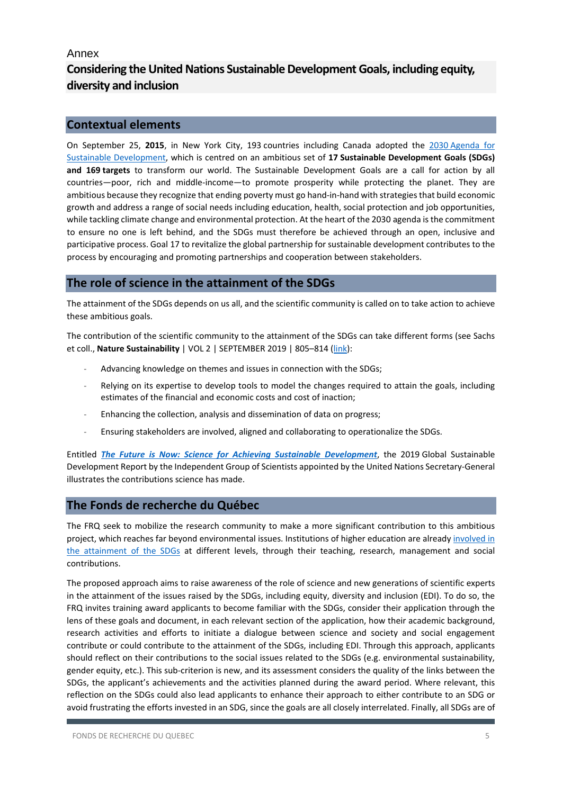## Annex

## **Considering the United Nations Sustainable Development Goals, including equity, diversity and inclusion**

## **Contextual elements**

On September 25, **2015**, in New York City, 193 countries including Canada adopted the 2030 [Agenda for](https://www.un.org/sustainabledevelopment/)  [Sustainable Development,](https://www.un.org/sustainabledevelopment/) which is centred on an ambitious set of **17 Sustainable Development Goals (SDGs) and 169 targets** to transform our world. The Sustainable Development Goals are a call for action by all countries—poor, rich and middle-income—to promote prosperity while protecting the planet. They are ambitious because they recognize that ending poverty must go hand-in-hand with strategies that build economic growth and address a range of social needs including education, health, social protection and job opportunities, while tackling climate change and environmental protection. At the heart of the 2030 agenda is the commitment to ensure no one is left behind, and the SDGs must therefore be achieved through an open, inclusive and participative process. Goal 17 to revitalize the global partnership for sustainable development contributes to the process by encouraging and promoting partnerships and cooperation between stakeholders.

## **The role of science in the attainment of the SDGs**

The attainment of the SDGs depends on us all, and the scientific community is called on to take action to achieve these ambitious goals.

The contribution of the scientific community to the attainment of the SDGs can take different forms (see Sachs et coll., **Nature Sustainability** | VOL 2 | SEPTEMBER 2019 | 805–814 [\(link\)](https://www.nature.com/articles/s41893-019-0352-9.epdf?author_access_token=PYxHIfTzicPDZ1f8Mpi4ddRgN0jAjWel9jnR3ZoTv0OUvCcY5pZ8AaTx0MkoopkKOS7OzdwrSBL-nqy90SNoGgHmldD2otpknRagcTqK2IJMLpfAw86QRMHl3QEjytXGWz5FGotx9W9u1jWK0QbJVw%3D%3D):

- Advancing knowledge on themes and issues in connection with the SDGs;
- Relying on its expertise to develop tools to model the changes required to attain the goals, including estimates of the financial and economic costs and cost of inaction;
- Enhancing the collection, analysis and dissemination of data on progress;
- Ensuring stakeholders are involved, aligned and collaborating to operationalize the SDGs.

Entitled *[The Future is Now: Science for Achieving Sustainable Development](https://sustainabledevelopment.un.org/gsdr2019)*, the 2019 Global Sustainable Development Report by the Independent Group of Scientists appointed by the United Nations Secretary-General illustrates the contributions science has made.

## **The Fonds de recherche du Québec**

The FRQ seek to mobilize the research community to make a more significant contribution to this ambitious project, which reaches far beyond environmental issues. Institutions of higher education are alread[y involved in](https://www.univcan.ca/sustainable-development-goals/)  [the attainment of the SDGs](https://www.univcan.ca/sustainable-development-goals/) at different levels, through their teaching, research, management and social contributions.

The proposed approach aims to raise awareness of the role of science and new generations of scientific experts in the attainment of the issues raised by the SDGs, including equity, diversity and inclusion (EDI). To do so, the FRQ invites training award applicants to become familiar with the SDGs, consider their application through the lens of these goals and document, in each relevant section of the application, how their academic background, research activities and efforts to initiate a dialogue between science and society and social engagement contribute or could contribute to the attainment of the SDGs, including EDI. Through this approach, applicants should reflect on their contributions to the social issues related to the SDGs (e.g. environmental sustainability, gender equity, etc.). This sub-criterion is new, and its assessment considers the quality of the links between the SDGs, the applicant's achievements and the activities planned during the award period. Where relevant, this reflection on the SDGs could also lead applicants to enhance their approach to either contribute to an SDG or avoid frustrating the efforts invested in an SDG, since the goals are all closely interrelated. Finally, all SDGs are of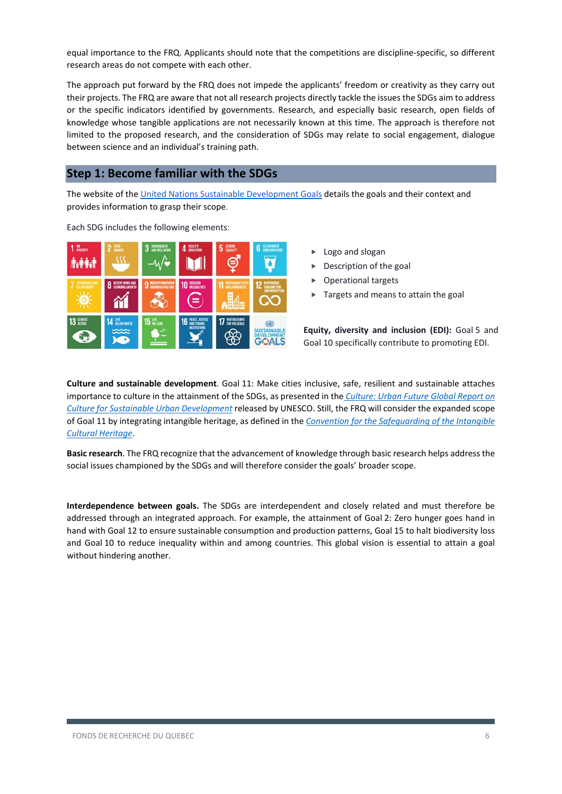equal importance to the FRQ. Applicants should note that the competitions are discipline-specific, so different research areas do not compete with each other.

The approach put forward by the FRQ does not impede the applicants' freedom or creativity as they carry out their projects. The FRQ are aware that not all research projects directly tackle the issues the SDGs aim to address or the specific indicators identified by governments. Research, and especially basic research, open fields of knowledge whose tangible applications are not necessarily known at this time. The approach is therefore not limited to the proposed research, and the consideration of SDGs may relate to social engagement, dialogue between science and an individual's training path.

## **Step 1: Become familiar with the SDGs**

The website of the [United Nations Sustainable Development Goals](https://www.un.org/sustainabledevelopment/) details the goals and their context and provides information to grasp their scope.



Each SDG includes the following elements:

- Logo and slogan
- Description of the goal
- Operational targets
- Targets and means to attain the goal

**Equity, diversity and inclusion (EDI):** Goal 5 and Goal 10 specifically contribute to promoting EDI.

**Culture and sustainable development**. Goal 11: Make cities inclusive, safe, resilient and sustainable attaches importance to culture in the attainment of the SDGs, as presented in the *[Culture: Urban Future Global Report on](https://en.unesco.org/creativity/publication/culture-urban-future)  [Culture for Sustainable Urban Development](https://en.unesco.org/creativity/publication/culture-urban-future)* released by UNESCO. Still, the FRQ will consider the expanded scope of Goal 11 by integrating intangible heritage, as defined in the *[Convention for the Safeguarding of the Intangible](https://ich.unesco.org/en/convention)  [Cultural Heritage](https://ich.unesco.org/en/convention)*.

**Basic research**. The FRQ recognize that the advancement of knowledge through basic research helps address the social issues championed by the SDGs and will therefore consider the goals' broader scope.

**Interdependence between goals.** The SDGs are interdependent and closely related and must therefore be addressed through an integrated approach. For example, the attainment of Goal 2: Zero hunger goes hand in hand with Goal 12 to ensure sustainable consumption and production patterns, Goal 15 to halt biodiversity loss and Goal 10 to reduce inequality within and among countries. This global vision is essential to attain a goal without hindering another.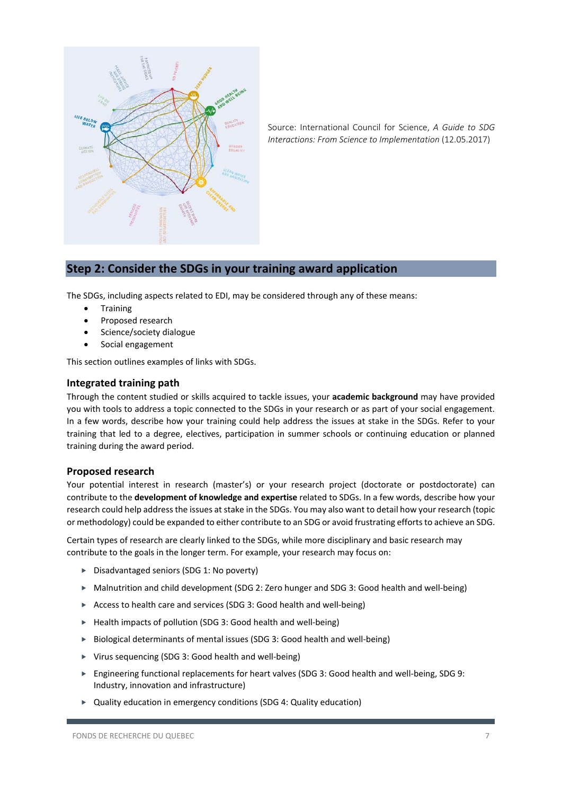

Source: International Council for Science, *A Guide to SDG Interactions: From Science to Implementation* [\(12.05.2017\)](https://council.science/publications/a-guide-to-sdg-interactions-from-science-to-implementation/)

## **Step 2: Consider the SDGs in your training award application**

The SDGs, including aspects related to EDI, may be considered through any of these means:

- **Training**
- Proposed research
- Science/society dialogue
- Social engagement

This section outlines examples of links with SDGs.

### **Integrated training path**

Through the content studied or skills acquired to tackle issues, your **academic background** may have provided you with tools to address a topic connected to the SDGs in your research or as part of your social engagement. In a few words, describe how your training could help address the issues at stake in the SDGs. Refer to your training that led to a degree, electives, participation in summer schools or continuing education or planned training during the award period.

### **Proposed research**

Your potential interest in research (master's) or your research project (doctorate or postdoctorate) can contribute to the **development of knowledge and expertise** related to SDGs. In a few words, describe how your research could help address the issues at stake in the SDGs. You may also want to detail how your research (topic or methodology) could be expanded to either contribute to an SDG or avoid frustrating efforts to achieve an SDG.

Certain types of research are clearly linked to the SDGs, while more disciplinary and basic research may contribute to the goals in the longer term. For example, your research may focus on:

- ▶ Disadvantaged seniors (SDG 1: No poverty)
- ▶ Malnutrition and child development (SDG 2: Zero hunger and SDG 3: Good health and well-being)
- Access to health care and services (SDG 3: Good health and well-being)
- ► Health impacts of pollution (SDG 3: Good health and well-being)
- ▶ Biological determinants of mental issues (SDG 3: Good health and well-being)
- Virus sequencing (SDG 3: Good health and well-being)
- ► Engineering functional replacements for heart valves (SDG 3: Good health and well-being, SDG 9: Industry, innovation and infrastructure)
- Quality education in emergency conditions (SDG 4: Quality education)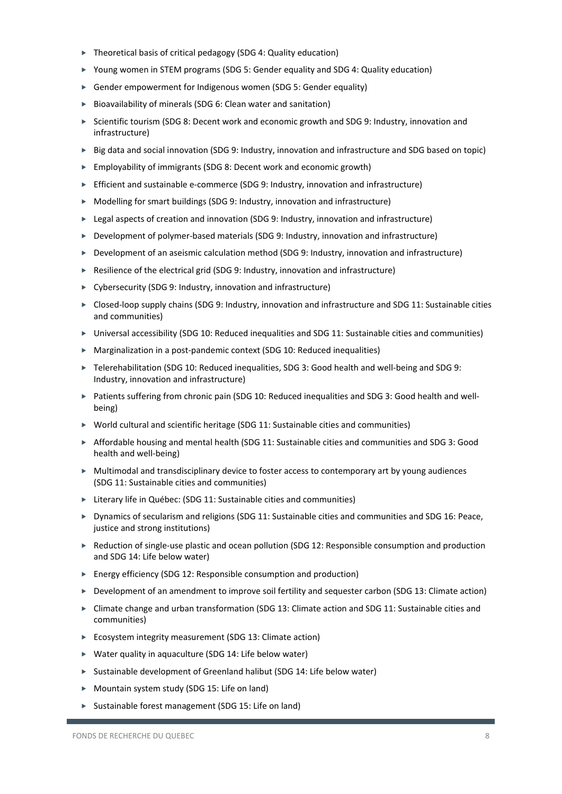- Theoretical basis of critical pedagogy (SDG 4: Quality education)
- ▶ Young women in STEM programs (SDG 5: Gender equality and SDG 4: Quality education)
- Gender empowerment for Indigenous women (SDG 5: Gender equality)
- ▶ Bioavailability of minerals (SDG 6: Clean water and sanitation)
- ► Scientific tourism (SDG 8: Decent work and economic growth and SDG 9: Industry, innovation and infrastructure)
- ► Big data and social innovation (SDG 9: Industry, innovation and infrastructure and SDG based on topic)
- ▶ Employability of immigrants (SDG 8: Decent work and economic growth)
- Efficient and sustainable e-commerce (SDG 9: Industry, innovation and infrastructure)
- ▶ Modelling for smart buildings (SDG 9: Industry, innovation and infrastructure)
- ► Legal aspects of creation and innovation (SDG 9: Industry, innovation and infrastructure)
- ▶ Development of polymer-based materials (SDG 9: Industry, innovation and infrastructure)
- Development of an aseismic calculation method (SDG 9: Industry, innovation and infrastructure)
- ▶ Resilience of the electrical grid (SDG 9: Industry, innovation and infrastructure)
- ▶ Cybersecurity (SDG 9: Industry, innovation and infrastructure)
- ▶ Closed-loop supply chains (SDG 9: Industry, innovation and infrastructure and SDG 11: Sustainable cities and communities)
- Universal accessibility (SDG 10: Reduced inequalities and SDG 11: Sustainable cities and communities)
- Marginalization in a post-pandemic context (SDG 10: Reduced inequalities)
- ► Telerehabilitation (SDG 10: Reduced inequalities, SDG 3: Good health and well-being and SDG 9: Industry, innovation and infrastructure)
- ▶ Patients suffering from chronic pain (SDG 10: Reduced inequalities and SDG 3: Good health and wellbeing)
- $\triangleright$  World cultural and scientific heritage (SDG 11: Sustainable cities and communities)
- Affordable housing and mental health (SDG 11: Sustainable cities and communities and SDG 3: Good health and well-being)
- $\triangleright$  Multimodal and transdisciplinary device to foster access to contemporary art by young audiences (SDG 11: Sustainable cities and communities)
- ► Literary life in Québec: (SDG 11: Sustainable cities and communities)
- ▶ Dynamics of secularism and religions (SDG 11: Sustainable cities and communities and SDG 16: Peace, justice and strong institutions)
- ► Reduction of single-use plastic and ocean pollution (SDG 12: Responsible consumption and production and SDG 14: Life below water)
- $\triangleright$  Energy efficiency (SDG 12: Responsible consumption and production)
- ▶ Development of an amendment to improve soil fertility and sequester carbon (SDG 13: Climate action)
- ► Climate change and urban transformation (SDG 13: Climate action and SDG 11: Sustainable cities and communities)
- ► Ecosystem integrity measurement (SDG 13: Climate action)
- Water quality in aquaculture (SDG 14: Life below water)
- Sustainable development of Greenland halibut (SDG 14: Life below water)
- ▶ Mountain system study (SDG 15: Life on land)
- ▶ Sustainable forest management (SDG 15: Life on land)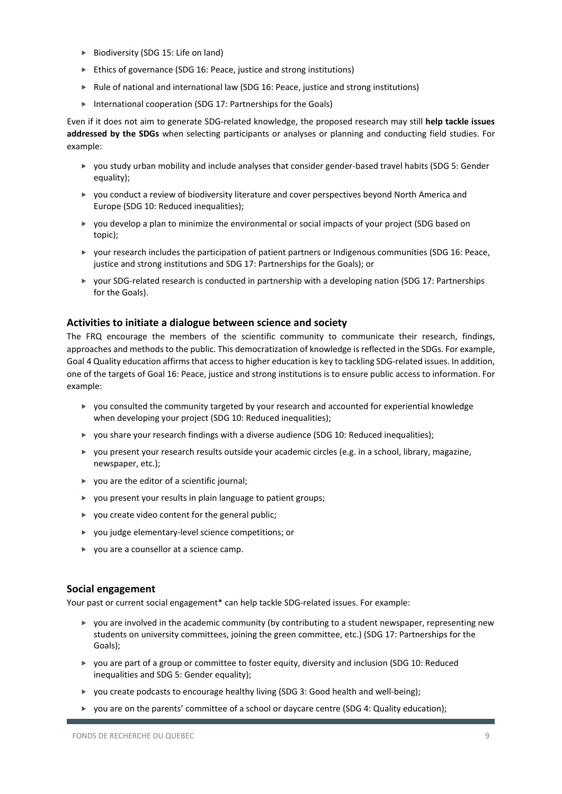- ▶ Biodiversity (SDG 15: Life on land)
- ► Ethics of governance (SDG 16: Peace, justice and strong institutions)
- Rule of national and international law (SDG 16: Peace, justice and strong institutions)
- ▶ International cooperation (SDG 17: Partnerships for the Goals)

Even if it does not aim to generate SDG-related knowledge, the proposed research may still **help tackle issues addressed by the SDGs** when selecting participants or analyses or planning and conducting field studies. For example:

- you study urban mobility and include analyses that consider gender-based travel habits (SDG 5: Gender equality);
- you conduct a review of biodiversity literature and cover perspectives beyond North America and Europe (SDG 10: Reduced inequalities);
- $\triangleright$  you develop a plan to minimize the environmental or social impacts of your project (SDG based on topic);
- your research includes the participation of patient partners or Indigenous communities (SDG 16: Peace, justice and strong institutions and SDG 17: Partnerships for the Goals); or
- ▶ your SDG-related research is conducted in partnership with a developing nation (SDG 17: Partnerships for the Goals).

### **Activities to initiate a dialogue between science and society**

The FRQ encourage the members of the scientific community to communicate their research, findings, approaches and methods to the public. This democratization of knowledge is reflected in the SDGs. For example, Goal 4 Quality education affirms that access to higher education is key to tackling SDG-related issues. In addition, one of the targets of Goal 16: Peace, justice and strong institutions is to ensure public access to information. For example:

- you consulted the community targeted by your research and accounted for experiential knowledge when developing your project (SDG 10: Reduced inequalities);
- ▶ you share your research findings with a diverse audience (SDG 10: Reduced inequalities);
- you present your research results outside your academic circles (e.g. in a school, library, magazine, newspaper, etc.);
- $\triangleright$  vou are the editor of a scientific journal:
- you present your results in plain language to patient groups;
- $\triangleright$  you create video content for the general public;
- you judge elementary-level science competitions; or
- ▶ you are a counsellor at a science camp.

### **Social engagement**

Your past or current social engagement\* can help tackle SDG-related issues. For example:

- $\triangleright$  you are involved in the academic community (by contributing to a student newspaper, representing new students on university committees, joining the green committee, etc.) (SDG 17: Partnerships for the Goals);
- ▶ you are part of a group or committee to foster equity, diversity and inclusion (SDG 10: Reduced inequalities and SDG 5: Gender equality);
- $\triangleright$  you create podcasts to encourage healthy living (SDG 3: Good health and well-being);
- ▶ you are on the parents' committee of a school or daycare centre (SDG 4: Quality education);